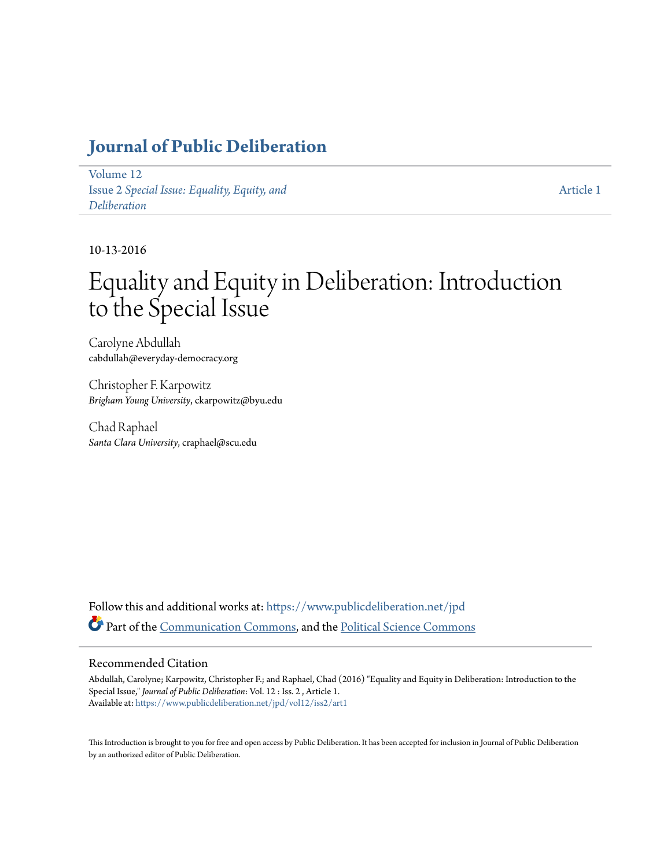## **[Journal of Public Deliberation](https://www.publicdeliberation.net/jpd?utm_source=www.publicdeliberation.net%2Fjpd%2Fvol12%2Fiss2%2Fart1&utm_medium=PDF&utm_campaign=PDFCoverPages)**

[Volume 12](https://www.publicdeliberation.net/jpd/vol12?utm_source=www.publicdeliberation.net%2Fjpd%2Fvol12%2Fiss2%2Fart1&utm_medium=PDF&utm_campaign=PDFCoverPages) Issue 2 *[Special Issue: Equality, Equity, and](https://www.publicdeliberation.net/jpd/vol12/iss2?utm_source=www.publicdeliberation.net%2Fjpd%2Fvol12%2Fiss2%2Fart1&utm_medium=PDF&utm_campaign=PDFCoverPages) [Deliberation](https://www.publicdeliberation.net/jpd/vol12/iss2?utm_source=www.publicdeliberation.net%2Fjpd%2Fvol12%2Fiss2%2Fart1&utm_medium=PDF&utm_campaign=PDFCoverPages)*

[Article 1](https://www.publicdeliberation.net/jpd/vol12/iss2/art1?utm_source=www.publicdeliberation.net%2Fjpd%2Fvol12%2Fiss2%2Fart1&utm_medium=PDF&utm_campaign=PDFCoverPages)

10-13-2016

# Equality and Equity in Deliberation: Introduction to the Special Issue

Carolyne Abdullah cabdullah@everyday-democracy.org

Christopher F. Karpowitz *Brigham Young University*, ckarpowitz@byu.edu

Chad Raphael *Santa Clara University*, craphael@scu.edu

Follow this and additional works at: [https://www.publicdeliberation.net/jpd](https://www.publicdeliberation.net/jpd?utm_source=www.publicdeliberation.net%2Fjpd%2Fvol12%2Fiss2%2Fart1&utm_medium=PDF&utm_campaign=PDFCoverPages) Part of the [Communication Commons](http://network.bepress.com/hgg/discipline/325?utm_source=www.publicdeliberation.net%2Fjpd%2Fvol12%2Fiss2%2Fart1&utm_medium=PDF&utm_campaign=PDFCoverPages), and the [Political Science Commons](http://network.bepress.com/hgg/discipline/386?utm_source=www.publicdeliberation.net%2Fjpd%2Fvol12%2Fiss2%2Fart1&utm_medium=PDF&utm_campaign=PDFCoverPages)

#### Recommended Citation

Abdullah, Carolyne; Karpowitz, Christopher F.; and Raphael, Chad (2016) "Equality and Equity in Deliberation: Introduction to the Special Issue," *Journal of Public Deliberation*: Vol. 12 : Iss. 2 , Article 1. Available at: [https://www.publicdeliberation.net/jpd/vol12/iss2/art1](https://www.publicdeliberation.net/jpd/vol12/iss2/art1?utm_source=www.publicdeliberation.net%2Fjpd%2Fvol12%2Fiss2%2Fart1&utm_medium=PDF&utm_campaign=PDFCoverPages)

This Introduction is brought to you for free and open access by Public Deliberation. It has been accepted for inclusion in Journal of Public Deliberation by an authorized editor of Public Deliberation.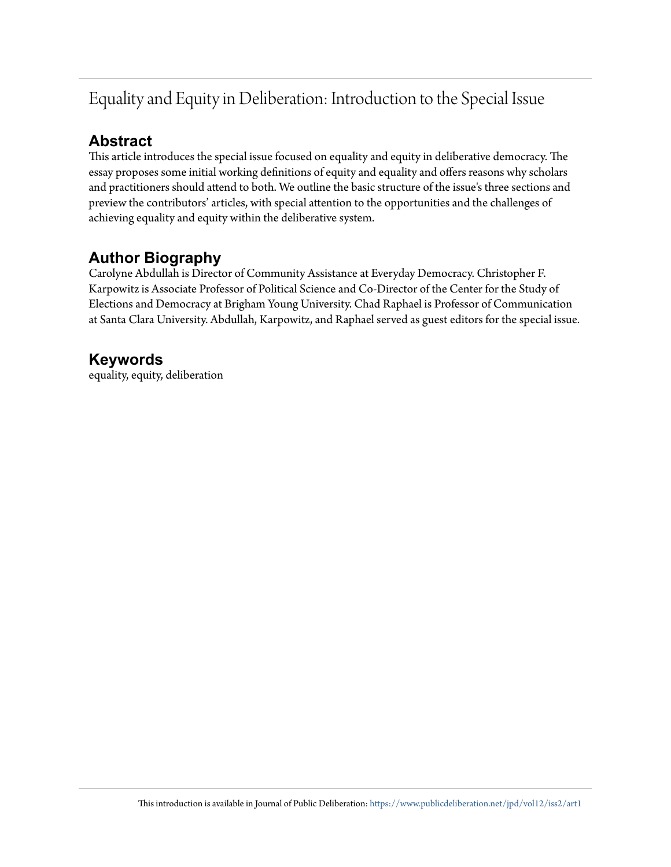# Equality and Equity in Deliberation: Introduction to the Special Issue

### **Abstract**

This article introduces the special issue focused on equality and equity in deliberative democracy. The essay proposes some initial working definitions of equity and equality and offers reasons why scholars and practitioners should attend to both. We outline the basic structure of the issue's three sections and preview the contributors' articles, with special attention to the opportunities and the challenges of achieving equality and equity within the deliberative system.

### **Author Biography**

Carolyne Abdullah is Director of Community Assistance at Everyday Democracy. Christopher F. Karpowitz is Associate Professor of Political Science and Co-Director of the Center for the Study of Elections and Democracy at Brigham Young University. Chad Raphael is Professor of Communication at Santa Clara University. Abdullah, Karpowitz, and Raphael served as guest editors for the special issue.

### **Keywords**

equality, equity, deliberation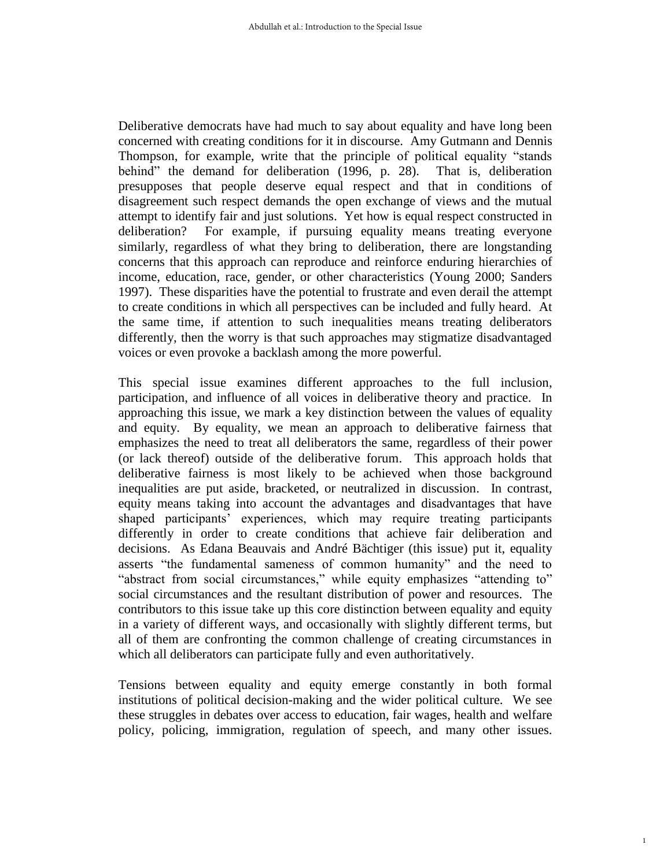Deliberative democrats have had much to say about equality and have long been concerned with creating conditions for it in discourse. Amy Gutmann and Dennis Thompson, for example, write that the principle of political equality "stands behind" the demand for deliberation (1996, p. 28). That is, deliberation presupposes that people deserve equal respect and that in conditions of disagreement such respect demands the open exchange of views and the mutual attempt to identify fair and just solutions. Yet how is equal respect constructed in deliberation? For example, if pursuing equality means treating everyone similarly, regardless of what they bring to deliberation, there are longstanding concerns that this approach can reproduce and reinforce enduring hierarchies of income, education, race, gender, or other characteristics (Young 2000; Sanders 1997). These disparities have the potential to frustrate and even derail the attempt to create conditions in which all perspectives can be included and fully heard. At the same time, if attention to such inequalities means treating deliberators differently, then the worry is that such approaches may stigmatize disadvantaged voices or even provoke a backlash among the more powerful.

This special issue examines different approaches to the full inclusion, participation, and influence of all voices in deliberative theory and practice. In approaching this issue, we mark a key distinction between the values of equality and equity. By equality, we mean an approach to deliberative fairness that emphasizes the need to treat all deliberators the same, regardless of their power (or lack thereof) outside of the deliberative forum. This approach holds that deliberative fairness is most likely to be achieved when those background inequalities are put aside, bracketed, or neutralized in discussion. In contrast, equity means taking into account the advantages and disadvantages that have shaped participants' experiences, which may require treating participants differently in order to create conditions that achieve fair deliberation and decisions. As Edana Beauvais and André Bächtiger (this issue) put it, equality asserts "the fundamental sameness of common humanity" and the need to "abstract from social circumstances," while equity emphasizes "attending to" social circumstances and the resultant distribution of power and resources. The contributors to this issue take up this core distinction between equality and equity in a variety of different ways, and occasionally with slightly different terms, but all of them are confronting the common challenge of creating circumstances in which all deliberators can participate fully and even authoritatively.

Tensions between equality and equity emerge constantly in both formal institutions of political decision-making and the wider political culture. We see these struggles in debates over access to education, fair wages, health and welfare policy, policing, immigration, regulation of speech, and many other issues.

1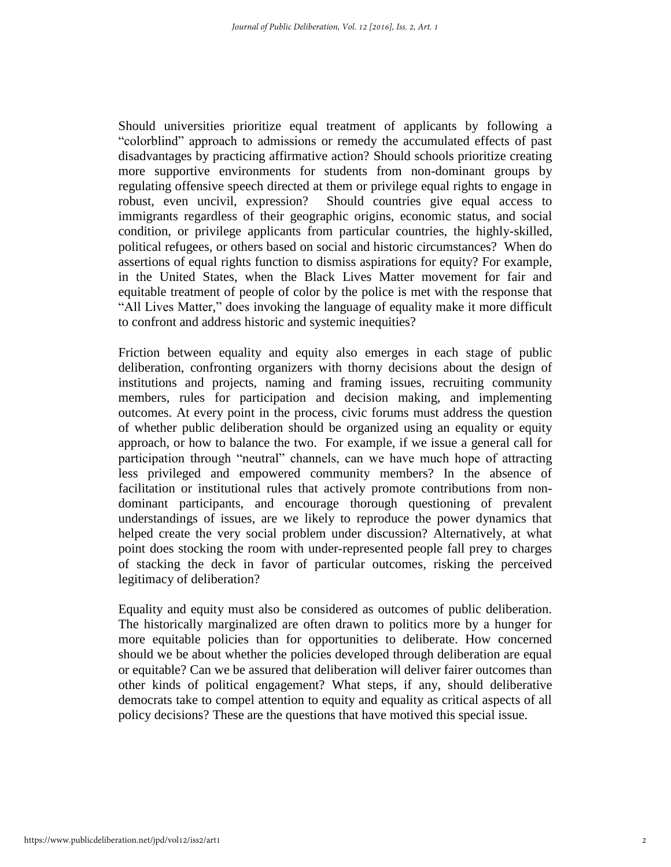Should universities prioritize equal treatment of applicants by following a "colorblind" approach to admissions or remedy the accumulated effects of past disadvantages by practicing affirmative action? Should schools prioritize creating more supportive environments for students from non-dominant groups by regulating offensive speech directed at them or privilege equal rights to engage in robust, even uncivil, expression? Should countries give equal access to immigrants regardless of their geographic origins, economic status, and social condition, or privilege applicants from particular countries, the highly-skilled, political refugees, or others based on social and historic circumstances? When do assertions of equal rights function to dismiss aspirations for equity? For example, in the United States, when the Black Lives Matter movement for fair and equitable treatment of people of color by the police is met with the response that "All Lives Matter," does invoking the language of equality make it more difficult to confront and address historic and systemic inequities?

Friction between equality and equity also emerges in each stage of public deliberation, confronting organizers with thorny decisions about the design of institutions and projects, naming and framing issues, recruiting community members, rules for participation and decision making, and implementing outcomes. At every point in the process, civic forums must address the question of whether public deliberation should be organized using an equality or equity approach, or how to balance the two. For example, if we issue a general call for participation through "neutral" channels, can we have much hope of attracting less privileged and empowered community members? In the absence of facilitation or institutional rules that actively promote contributions from nondominant participants, and encourage thorough questioning of prevalent understandings of issues, are we likely to reproduce the power dynamics that helped create the very social problem under discussion? Alternatively, at what point does stocking the room with under-represented people fall prey to charges of stacking the deck in favor of particular outcomes, risking the perceived legitimacy of deliberation?

Equality and equity must also be considered as outcomes of public deliberation. The historically marginalized are often drawn to politics more by a hunger for more equitable policies than for opportunities to deliberate. How concerned should we be about whether the policies developed through deliberation are equal or equitable? Can we be assured that deliberation will deliver fairer outcomes than other kinds of political engagement? What steps, if any, should deliberative democrats take to compel attention to equity and equality as critical aspects of all policy decisions? These are the questions that have motived this special issue.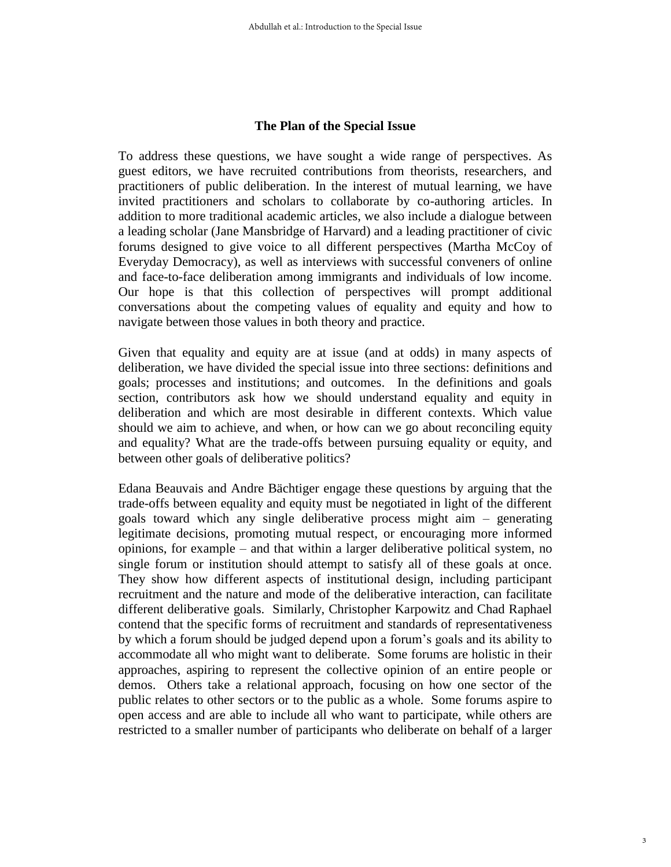#### **The Plan of the Special Issue**

To address these questions, we have sought a wide range of perspectives. As guest editors, we have recruited contributions from theorists, researchers, and practitioners of public deliberation. In the interest of mutual learning, we have invited practitioners and scholars to collaborate by co-authoring articles. In addition to more traditional academic articles, we also include a dialogue between a leading scholar (Jane Mansbridge of Harvard) and a leading practitioner of civic forums designed to give voice to all different perspectives (Martha McCoy of Everyday Democracy), as well as interviews with successful conveners of online and face-to-face deliberation among immigrants and individuals of low income. Our hope is that this collection of perspectives will prompt additional conversations about the competing values of equality and equity and how to navigate between those values in both theory and practice.

Given that equality and equity are at issue (and at odds) in many aspects of deliberation, we have divided the special issue into three sections: definitions and goals; processes and institutions; and outcomes. In the definitions and goals section, contributors ask how we should understand equality and equity in deliberation and which are most desirable in different contexts. Which value should we aim to achieve, and when, or how can we go about reconciling equity and equality? What are the trade-offs between pursuing equality or equity, and between other goals of deliberative politics?

Edana Beauvais and Andre Bächtiger engage these questions by arguing that the trade-offs between equality and equity must be negotiated in light of the different goals toward which any single deliberative process might aim – generating legitimate decisions, promoting mutual respect, or encouraging more informed opinions, for example – and that within a larger deliberative political system, no single forum or institution should attempt to satisfy all of these goals at once. They show how different aspects of institutional design, including participant recruitment and the nature and mode of the deliberative interaction, can facilitate different deliberative goals. Similarly, Christopher Karpowitz and Chad Raphael contend that the specific forms of recruitment and standards of representativeness by which a forum should be judged depend upon a forum's goals and its ability to accommodate all who might want to deliberate. Some forums are holistic in their approaches, aspiring to represent the collective opinion of an entire people or demos. Others take a relational approach, focusing on how one sector of the public relates to other sectors or to the public as a whole. Some forums aspire to open access and are able to include all who want to participate, while others are restricted to a smaller number of participants who deliberate on behalf of a larger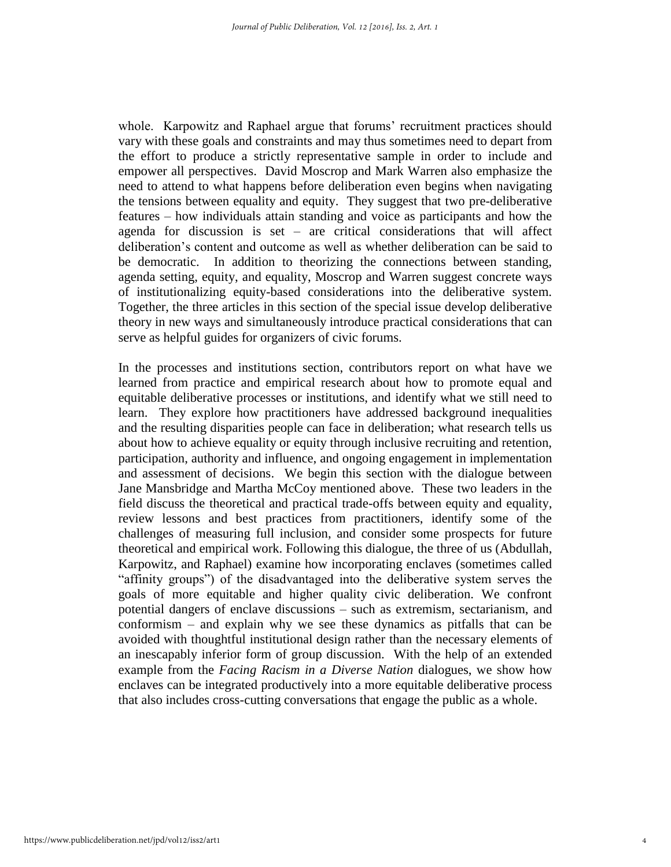whole. Karpowitz and Raphael argue that forums' recruitment practices should vary with these goals and constraints and may thus sometimes need to depart from the effort to produce a strictly representative sample in order to include and empower all perspectives. David Moscrop and Mark Warren also emphasize the need to attend to what happens before deliberation even begins when navigating the tensions between equality and equity. They suggest that two pre-deliberative features – how individuals attain standing and voice as participants and how the agenda for discussion is set – are critical considerations that will affect deliberation's content and outcome as well as whether deliberation can be said to be democratic. In addition to theorizing the connections between standing, agenda setting, equity, and equality, Moscrop and Warren suggest concrete ways of institutionalizing equity-based considerations into the deliberative system. Together, the three articles in this section of the special issue develop deliberative theory in new ways and simultaneously introduce practical considerations that can serve as helpful guides for organizers of civic forums.

In the processes and institutions section, contributors report on what have we learned from practice and empirical research about how to promote equal and equitable deliberative processes or institutions, and identify what we still need to learn. They explore how practitioners have addressed background inequalities and the resulting disparities people can face in deliberation; what research tells us about how to achieve equality or equity through inclusive recruiting and retention, participation, authority and influence, and ongoing engagement in implementation and assessment of decisions. We begin this section with the dialogue between Jane Mansbridge and Martha McCoy mentioned above. These two leaders in the field discuss the theoretical and practical trade-offs between equity and equality, review lessons and best practices from practitioners, identify some of the challenges of measuring full inclusion, and consider some prospects for future theoretical and empirical work. Following this dialogue, the three of us (Abdullah, Karpowitz, and Raphael) examine how incorporating enclaves (sometimes called "affinity groups") of the disadvantaged into the deliberative system serves the goals of more equitable and higher quality civic deliberation. We confront potential dangers of enclave discussions – such as extremism, sectarianism, and conformism – and explain why we see these dynamics as pitfalls that can be avoided with thoughtful institutional design rather than the necessary elements of an inescapably inferior form of group discussion. With the help of an extended example from the *Facing Racism in a Diverse Nation* dialogues, we show how enclaves can be integrated productively into a more equitable deliberative process that also includes cross-cutting conversations that engage the public as a whole.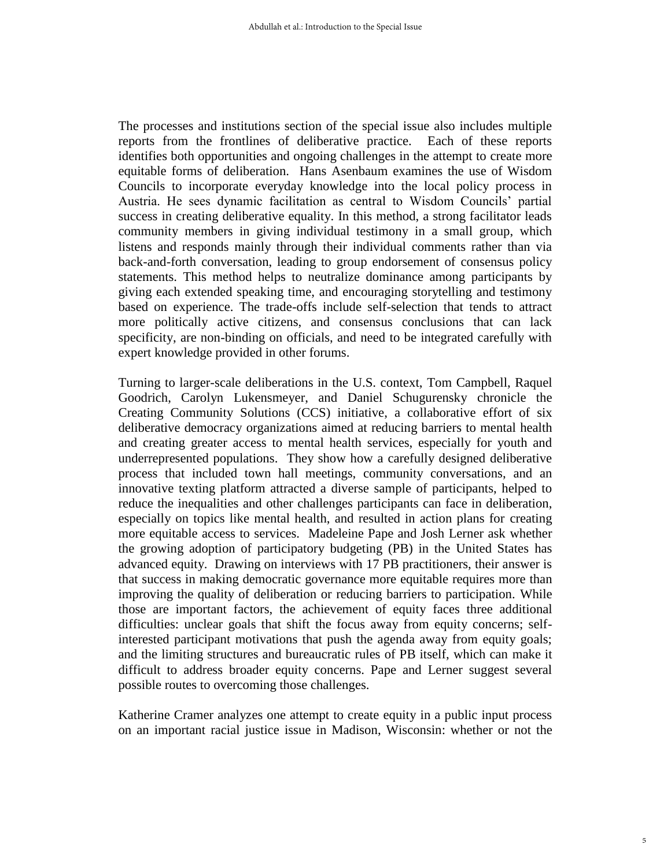The processes and institutions section of the special issue also includes multiple reports from the frontlines of deliberative practice. Each of these reports identifies both opportunities and ongoing challenges in the attempt to create more equitable forms of deliberation. Hans Asenbaum examines the use of Wisdom Councils to incorporate everyday knowledge into the local policy process in Austria. He sees dynamic facilitation as central to Wisdom Councils' partial success in creating deliberative equality. In this method, a strong facilitator leads community members in giving individual testimony in a small group, which listens and responds mainly through their individual comments rather than via back-and-forth conversation, leading to group endorsement of consensus policy statements. This method helps to neutralize dominance among participants by giving each extended speaking time, and encouraging storytelling and testimony based on experience. The trade-offs include self-selection that tends to attract more politically active citizens, and consensus conclusions that can lack specificity, are non-binding on officials, and need to be integrated carefully with expert knowledge provided in other forums.

Turning to larger-scale deliberations in the U.S. context, Tom Campbell, Raquel Goodrich, Carolyn Lukensmeyer, and Daniel Schugurensky chronicle the Creating Community Solutions (CCS) initiative, a collaborative effort of six deliberative democracy organizations aimed at reducing barriers to mental health and creating greater access to mental health services, especially for youth and underrepresented populations. They show how a carefully designed deliberative process that included town hall meetings, community conversations, and an innovative texting platform attracted a diverse sample of participants, helped to reduce the inequalities and other challenges participants can face in deliberation, especially on topics like mental health, and resulted in action plans for creating more equitable access to services. Madeleine Pape and Josh Lerner ask whether the growing adoption of participatory budgeting (PB) in the United States has advanced equity. Drawing on interviews with 17 PB practitioners, their answer is that success in making democratic governance more equitable requires more than improving the quality of deliberation or reducing barriers to participation. While those are important factors, the achievement of equity faces three additional difficulties: unclear goals that shift the focus away from equity concerns; selfinterested participant motivations that push the agenda away from equity goals; and the limiting structures and bureaucratic rules of PB itself, which can make it difficult to address broader equity concerns. Pape and Lerner suggest several possible routes to overcoming those challenges.

Katherine Cramer analyzes one attempt to create equity in a public input process on an important racial justice issue in Madison, Wisconsin: whether or not the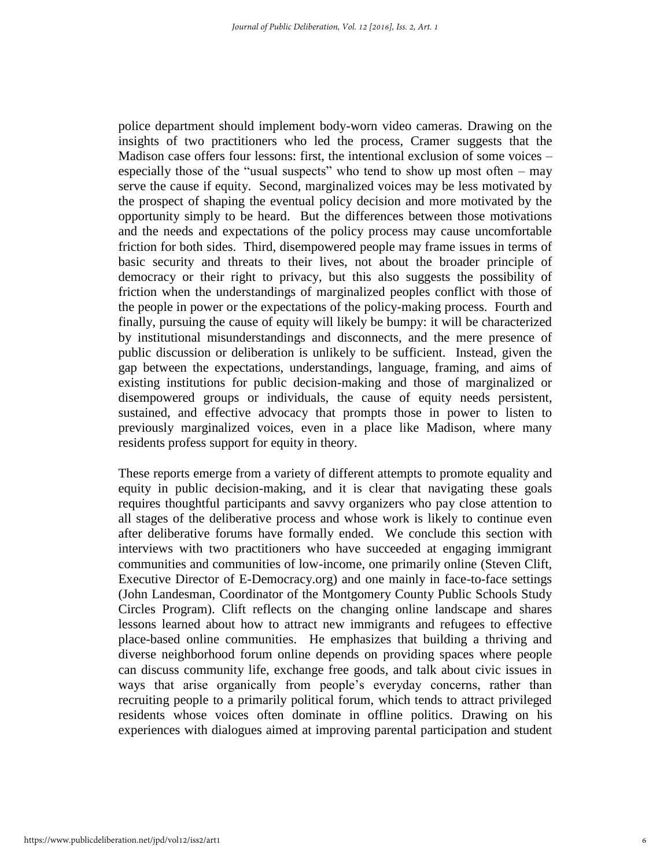police department should implement body-worn video cameras. Drawing on the insights of two practitioners who led the process, Cramer suggests that the Madison case offers four lessons: first, the intentional exclusion of some voices – especially those of the "usual suspects" who tend to show up most often – may serve the cause if equity. Second, marginalized voices may be less motivated by the prospect of shaping the eventual policy decision and more motivated by the opportunity simply to be heard. But the differences between those motivations and the needs and expectations of the policy process may cause uncomfortable friction for both sides. Third, disempowered people may frame issues in terms of basic security and threats to their lives, not about the broader principle of democracy or their right to privacy, but this also suggests the possibility of friction when the understandings of marginalized peoples conflict with those of the people in power or the expectations of the policy-making process. Fourth and finally, pursuing the cause of equity will likely be bumpy: it will be characterized by institutional misunderstandings and disconnects, and the mere presence of public discussion or deliberation is unlikely to be sufficient. Instead, given the gap between the expectations, understandings, language, framing, and aims of existing institutions for public decision-making and those of marginalized or disempowered groups or individuals, the cause of equity needs persistent, sustained, and effective advocacy that prompts those in power to listen to previously marginalized voices, even in a place like Madison, where many residents profess support for equity in theory.

These reports emerge from a variety of different attempts to promote equality and equity in public decision-making, and it is clear that navigating these goals requires thoughtful participants and savvy organizers who pay close attention to all stages of the deliberative process and whose work is likely to continue even after deliberative forums have formally ended. We conclude this section with interviews with two practitioners who have succeeded at engaging immigrant communities and communities of low-income, one primarily online (Steven Clift, Executive Director of E-Democracy.org) and one mainly in face-to-face settings (John Landesman, Coordinator of the Montgomery County Public Schools Study Circles Program). Clift reflects on the changing online landscape and shares lessons learned about how to attract new immigrants and refugees to effective place-based online communities. He emphasizes that building a thriving and diverse neighborhood forum online depends on providing spaces where people can discuss community life, exchange free goods, and talk about civic issues in ways that arise organically from people's everyday concerns, rather than recruiting people to a primarily political forum, which tends to attract privileged residents whose voices often dominate in offline politics. Drawing on his experiences with dialogues aimed at improving parental participation and student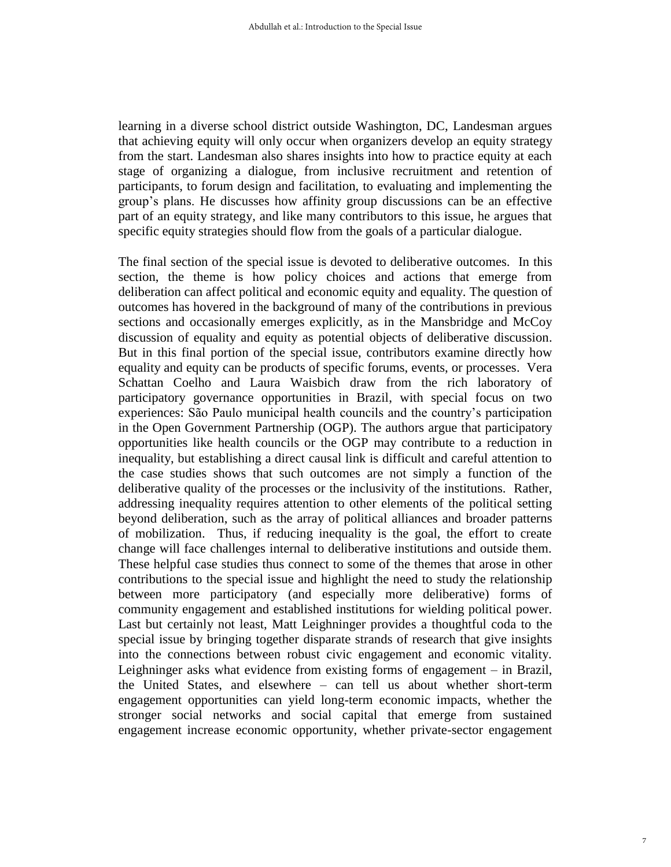learning in a diverse school district outside Washington, DC, Landesman argues that achieving equity will only occur when organizers develop an equity strategy from the start. Landesman also shares insights into how to practice equity at each stage of organizing a dialogue, from inclusive recruitment and retention of participants, to forum design and facilitation, to evaluating and implementing the group's plans. He discusses how affinity group discussions can be an effective part of an equity strategy, and like many contributors to this issue, he argues that specific equity strategies should flow from the goals of a particular dialogue.

The final section of the special issue is devoted to deliberative outcomes. In this section, the theme is how policy choices and actions that emerge from deliberation can affect political and economic equity and equality. The question of outcomes has hovered in the background of many of the contributions in previous sections and occasionally emerges explicitly, as in the Mansbridge and McCoy discussion of equality and equity as potential objects of deliberative discussion. But in this final portion of the special issue, contributors examine directly how equality and equity can be products of specific forums, events, or processes. Vera Schattan Coelho and Laura Waisbich draw from the rich laboratory of participatory governance opportunities in Brazil, with special focus on two experiences: São Paulo municipal health councils and the country's participation in the Open Government Partnership (OGP). The authors argue that participatory opportunities like health councils or the OGP may contribute to a reduction in inequality, but establishing a direct causal link is difficult and careful attention to the case studies shows that such outcomes are not simply a function of the deliberative quality of the processes or the inclusivity of the institutions. Rather, addressing inequality requires attention to other elements of the political setting beyond deliberation, such as the array of political alliances and broader patterns of mobilization. Thus, if reducing inequality is the goal, the effort to create change will face challenges internal to deliberative institutions and outside them. These helpful case studies thus connect to some of the themes that arose in other contributions to the special issue and highlight the need to study the relationship between more participatory (and especially more deliberative) forms of community engagement and established institutions for wielding political power. Last but certainly not least, Matt Leighninger provides a thoughtful coda to the special issue by bringing together disparate strands of research that give insights into the connections between robust civic engagement and economic vitality. Leighninger asks what evidence from existing forms of engagement – in Brazil, the United States, and elsewhere – can tell us about whether short-term engagement opportunities can yield long-term economic impacts, whether the stronger social networks and social capital that emerge from sustained engagement increase economic opportunity, whether private-sector engagement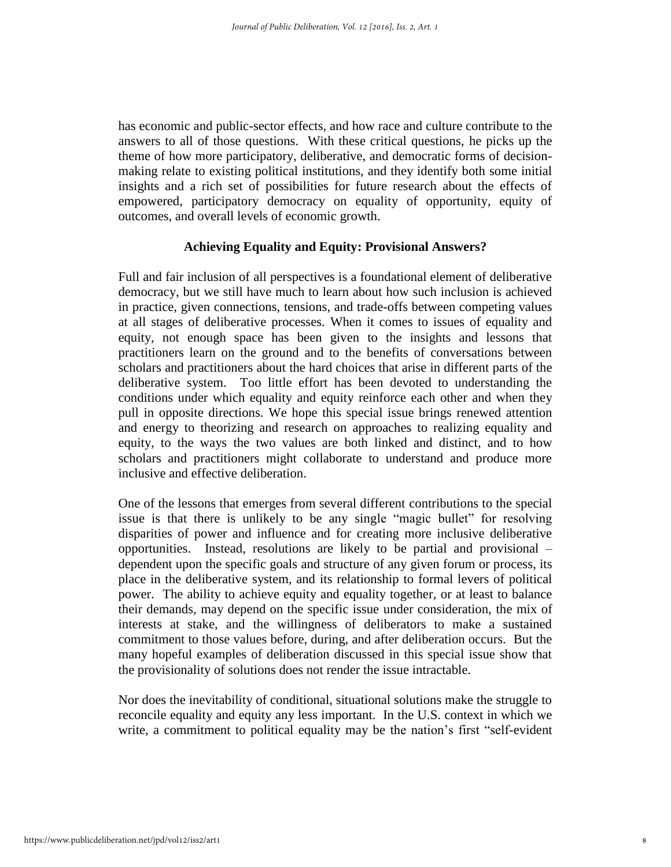has economic and public-sector effects, and how race and culture contribute to the answers to all of those questions. With these critical questions, he picks up the theme of how more participatory, deliberative, and democratic forms of decisionmaking relate to existing political institutions, and they identify both some initial insights and a rich set of possibilities for future research about the effects of empowered, participatory democracy on equality of opportunity, equity of outcomes, and overall levels of economic growth.

### **Achieving Equality and Equity: Provisional Answers?**

Full and fair inclusion of all perspectives is a foundational element of deliberative democracy, but we still have much to learn about how such inclusion is achieved in practice, given connections, tensions, and trade-offs between competing values at all stages of deliberative processes. When it comes to issues of equality and equity, not enough space has been given to the insights and lessons that practitioners learn on the ground and to the benefits of conversations between scholars and practitioners about the hard choices that arise in different parts of the deliberative system. Too little effort has been devoted to understanding the conditions under which equality and equity reinforce each other and when they pull in opposite directions. We hope this special issue brings renewed attention and energy to theorizing and research on approaches to realizing equality and equity, to the ways the two values are both linked and distinct, and to how scholars and practitioners might collaborate to understand and produce more inclusive and effective deliberation.

One of the lessons that emerges from several different contributions to the special issue is that there is unlikely to be any single "magic bullet" for resolving disparities of power and influence and for creating more inclusive deliberative opportunities. Instead, resolutions are likely to be partial and provisional – dependent upon the specific goals and structure of any given forum or process, its place in the deliberative system, and its relationship to formal levers of political power. The ability to achieve equity and equality together, or at least to balance their demands, may depend on the specific issue under consideration, the mix of interests at stake, and the willingness of deliberators to make a sustained commitment to those values before, during, and after deliberation occurs. But the many hopeful examples of deliberation discussed in this special issue show that the provisionality of solutions does not render the issue intractable.

Nor does the inevitability of conditional, situational solutions make the struggle to reconcile equality and equity any less important. In the U.S. context in which we write, a commitment to political equality may be the nation's first "self-evident"